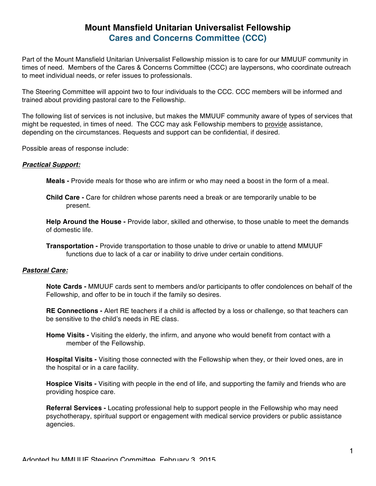# **Mount Mansfield Unitarian Universalist Fellowship Cares and Concerns Committee (CCC)**

Part of the Mount Mansfield Unitarian Universalist Fellowship mission is to care for our MMUUF community in times of need. Members of the Cares & Concerns Committee (CCC) are laypersons, who coordinate outreach to meet individual needs, or refer issues to professionals.

The Steering Committee will appoint two to four individuals to the CCC. CCC members will be informed and trained about providing pastoral care to the Fellowship.

The following list of services is not inclusive, but makes the MMUUF community aware of types of services that might be requested, in times of need. The CCC may ask Fellowship members to provide assistance, depending on the circumstances. Requests and support can be confidential, if desired.

Possible areas of response include:

#### *Practical Support:*

**Meals -** Provide meals for those who are infirm or who may need a boost in the form of a meal.

**Child Care -** Care for children whose parents need a break or are temporarily unable to be present.

**Help Around the House -** Provide labor, skilled and otherwise, to those unable to meet the demands of domestic life.

**Transportation -** Provide transportation to those unable to drive or unable to attend MMUUF functions due to lack of a car or inability to drive under certain conditions.

### *Pastoral Care:*

**Note Cards -** MMUUF cards sent to members and/or participants to offer condolences on behalf of the Fellowship, and offer to be in touch if the family so desires.

**RE Connections -** Alert RE teachers if a child is affected by a loss or challenge, so that teachers can be sensitive to the child's needs in RE class.

**Home Visits -** Visiting the elderly, the infirm, and anyone who would benefit from contact with a member of the Fellowship.

**Hospital Visits -** Visiting those connected with the Fellowship when they, or their loved ones, are in the hospital or in a care facility.

**Hospice Visits -** Visiting with people in the end of life, and supporting the family and friends who are providing hospice care.

**Referral Services -** Locating professional help to support people in the Fellowship who may need psychotherapy, spiritual support or engagement with medical service providers or public assistance agencies.